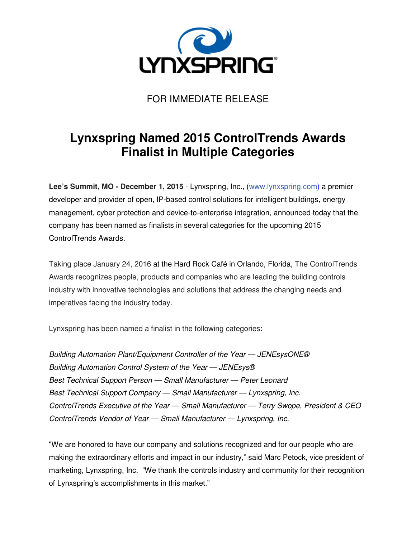

FOR IMMEDIATE RELEASE

## **Lynxspring Named 2015 ControlTrends Awards Finalist in Multiple Categories**

**Lee's Summit, MO - December 1, 2015** - Lynxspring, Inc., (www.lynxspring.com) a premier developer and provider of open, IP-based control solutions for intelligent buildings, energy management, cyber protection and device-to-enterprise integration, announced today that the company has been named as finalists in several categories for the upcoming 2015 ControlTrends Awards.

Taking place January 24, 2016 at the Hard Rock Café in Orlando, Florida, The ControlTrends Awards recognizes people, products and companies who are leading the building controls industry with innovative technologies and solutions that address the changing needs and imperatives facing the industry today.

Lynxspring has been named a finalist in the following categories:

Building Automation Plant/Equipment Controller of the Year — JENEsysONE® Building Automation Control System of the Year — JENEsys® Best Technical Support Person — Small Manufacturer — Peter Leonard Best Technical Support Company — Small Manufacturer — Lynxspring, Inc. ControlTrends Executive of the Year — Small Manufacturer — Terry Swope, President & CEO ControlTrends Vendor of Year — Small Manufacturer — Lynxspring, Inc.

"We are honored to have our company and solutions recognized and for our people who are making the extraordinary efforts and impact in our industry," said Marc Petock, vice president of marketing, Lynxspring, Inc. "We thank the controls industry and community for their recognition of Lynxspring's accomplishments in this market."